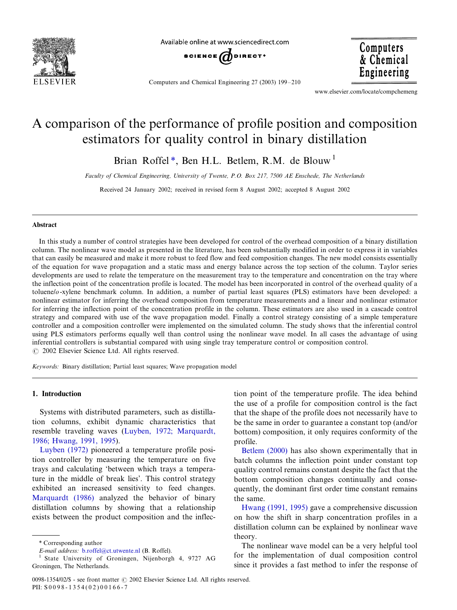

Available online at www.sciencedirect.com



Computers and Chemical Engineering 27 (2003) 199-210

**Computers** & Chemical Engineering

www.elsevier.com/locate/compchemeng

## A comparison of the performance of profile position and composition estimators for quality control in binary distillation

Brian Roffel \*, Ben H.L. Betlem, R.M. de Blouw <sup>1</sup>

Faculty of Chemical Engineering, University of Twente, P.O. Box 217, 7500 AE Enschede, The Netherlands

Received 24 January 2002; received in revised form 8 August 2002; accepted 8 August 2002

## **Abstract**

In this study a number of control strategies have been developed for control of the overhead composition of a binary distillation column. The nonlinear wave model as presented in the literature, has been substantially modified in order to express it in variables that can easily be measured and make it more robust to feed flow and feed composition changes. The new model consists essentially of the equation for wave propagation and a static mass and energy balance across the top section of the column. Taylor series developments are used to relate the temperature on the measurement tray to the temperature and concentration on the tray where the inflection point of the concentration profile is located. The model has been incorporated in control of the overhead quality of a toluene/o-xylene benchmark column. In addition, a number of partial least squares (PLS) estimators have been developed: a nonlinear estimator for inferring the overhead composition from temperature measurements and a linear and nonlinear estimator for inferring the inflection point of the concentration profile in the column. These estimators are also used in a cascade control strategy and compared with use of the wave propagation model. Finally a control strategy consisting of a simple temperature controller and a composition controller were implemented on the simulated column. The study shows that the inferential control using PLS estimators performs equally well than control using the nonlinear wave model. In all cases the advantage of using inferential controllers is substantial compared with using single tray temperature control or composition control.  $\odot$  2002 Elsevier Science Ltd. All rights reserved.

Keywords: Binary distillation; Partial least squares; Wave propagation model

## 1. Introduction

Systems with distributed parameters, such as distillation columns, exhibit dynamic characteristics that resemble traveling waves ([Luyben, 1972; Marquardt,](#page--1-0) [1986; Hwang, 1991, 1995\)](#page--1-0).

[Luyben \(1972\)](#page--1-0) pioneered a temperature profile position controller by measuring the temperature on five trays and calculating 'between which trays a temperature in the middle of break lies'. This control strategy exhibited an increased sensitivity to feed changes. [Marquardt \(1986\)](#page--1-0) analyzed the behavior of binary distillation columns by showing that a relationship exists between the product composition and the inflection point of the temperature profile. The idea behind the use of a profile for composition control is the fact that the shape of the profile does not necessarily have to be the same in order to guarantee a constant top (and/or bottom) composition, it only requires conformity of the profile.

[Betlem \(2000\)](#page--1-0) has also shown experimentally that in batch columns the inflection point under constant top quality control remains constant despite the fact that the bottom composition changes continually and consequently, the dominant first order time constant remains the same.

[Hwang \(1991, 1995\)](#page--1-0) gave a comprehensive discussion on how the shift in sharp concentration profiles in a distillation column can be explained by nonlinear wave theory.

The nonlinear wave model can be a very helpful tool for the implementation of dual composition control since it provides a fast method to infer the response of

<sup>\*</sup> Corresponding author

E-mail address: [b.roffel@ct.utwente.nl](mailto:b.roffel@ct.utwente.nl) (B. Roffel).<br><sup>1</sup> State University of Groningen, Nijenborgh 4, 9727 AG Groningen, The Netherlands.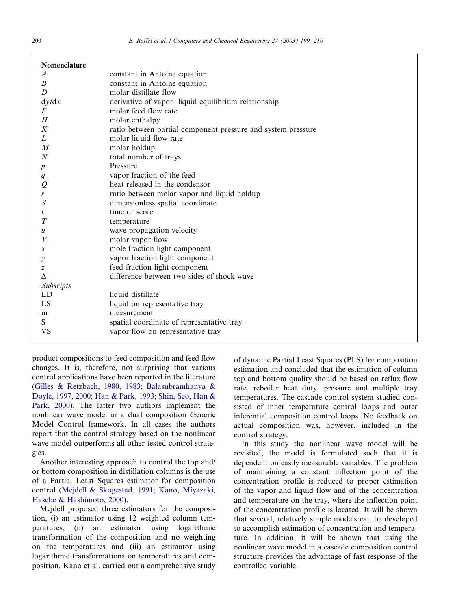| Nomenclature     |                                                              |
|------------------|--------------------------------------------------------------|
| $\overline{A}$   | constant in Antoine equation                                 |
| B                | constant in Antoine equation                                 |
| D                | molar distillate flow                                        |
| dy/dx            | derivative of vapor-liquid equilibrium relationship          |
| $\overline{F}$   | molar feed flow rate                                         |
| H                | molar enthalpy                                               |
| K                | ratio between partial component pressure and system pressure |
| L                | molar liquid flow rate                                       |
| $\boldsymbol{M}$ | molar holdup                                                 |
| $\boldsymbol{N}$ | total number of trays                                        |
| $\boldsymbol{p}$ | Pressure                                                     |
| q                | vapor fraction of the feed                                   |
| $\varrho$        | heat released in the condensor                               |
| r                | ratio between molar vapor and liquid holdup                  |
| $\overline{S}$   | dimensionless spatial coordinate                             |
| t                | time or score                                                |
| T                | temperature                                                  |
| $\boldsymbol{u}$ | wave propagation velocity                                    |
| V                | molar vapor flow                                             |
| $\mathcal{X}$    | mole fraction light component                                |
| $\mathcal{Y}$    | vapor fraction light component                               |
| z                | feed fraction light component                                |
| Δ                | difference between two sides of shock wave                   |
| Subscipts        |                                                              |
| LD               | liquid distillate                                            |
| LS               | liquid on representative tray                                |
| m                | measurement                                                  |
| S                | spatial coordinate of representative tray                    |
| <b>VS</b>        | vapor flow on representative tray                            |
|                  |                                                              |

product compositions to feed composition and feed flow changes. It is, therefore, not surprising that various control applications have been reported in the literature [\(Gilles & Retzbach, 1980, 1983; Balasubramhanya &](#page--1-0) [Doyle, 1997, 2000; Han & Park, 1993; Shin, Seo, Han &](#page--1-0) [Park, 2000](#page--1-0)). The latter two authors implement the nonlinear wave model in a dual composition Generic Model Control framework. In all cases the authors report that the control strategy based on the nonlinear wave model outperforms all other tested control strategies.

Another interesting approach to control the top and/ or bottom composition in distillation columns is the use of a Partial Least Squares estimator for composition control [\(Mejdell & Skogestad, 1991; Kano, Miyazaki,](#page--1-0) [Hasebe & Hashimoto, 2000](#page--1-0)).

Mejdell proposed three estimators for the composition, (i) an estimator using 12 weighted column temperatures, (ii) an estimator using logarithmic transformation of the composition and no weighting on the temperatures and (iii) an estimator using logarithmic transformations on temperatures and composition. Kano et al. carried out a comprehensive study

of dynamic Partial Least Squares (PLS) for composition estimation and concluded that the estimation of column top and bottom quality should be based on reflux flow rate, reboiler heat duty, pressure and multiple tray temperatures. The cascade control system studied consisted of inner temperature control loops and outer inferential composition control loops. No feedback on actual composition was, however, included in the control strategy.

In this study the nonlinear wave model will be revisited, the model is formulated such that it is dependent on easily measurable variables. The problem of maintaining a constant inflection point of the concentration profile is reduced to proper estimation of the vapor and liquid flow and of the concentration and temperature on the tray, where the inflection point of the concentration profile is located. It will be shown that several, relatively simple models can be developed to accomplish estimation of concentration and temperature. In addition, it will be shown that using the nonlinear wave model in a cascade composition control structure provides the advantage of fast response of the controlled variable.